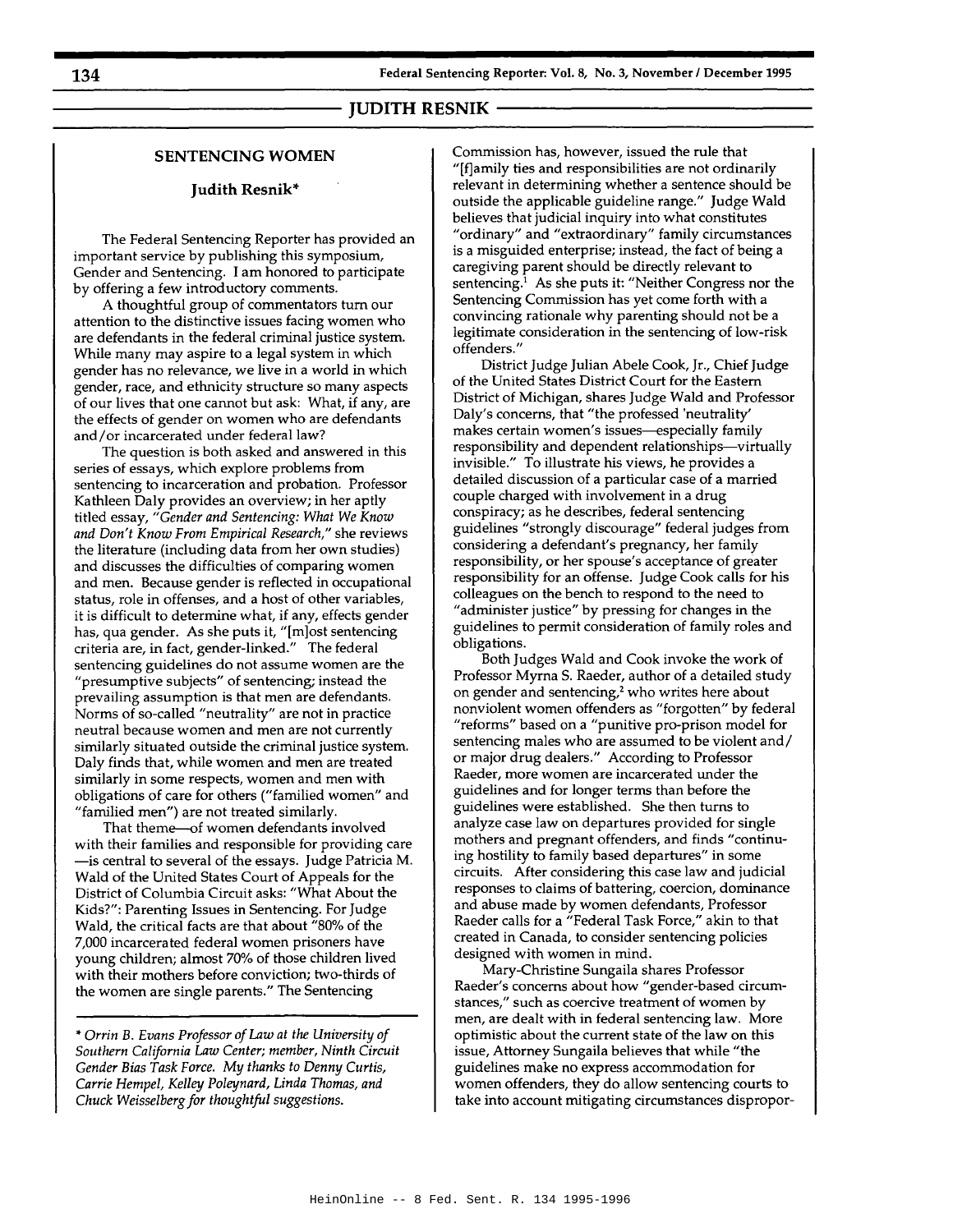# ------------ **JUDITH RESNIK**

## **SENTENCING WOMEN**

## **Judith Resnik\***

The Federal Sentencing Reporter has provided an important service by publishing this symposium, Gender and Sentencing. I am honored to participate by offering a few introductory comments.

A thoughtful group of commentators tum our attention to the distinctive issues facing women who are defendants in the federal criminal justice system. While many may aspire to a legal system in which gender has no relevance, we live in a world in which gender, race, and ethnicity structure so many aspects of our lives that one cannot but ask: What, if any, are the effects of gender on women who are defendants and/or incarcerated under federal law?

The question is both asked and answered in this series of essays, which explore problems from sentencing to incarceration and probation. Professor Kathleen Daly provides an overview; in her aptly titled essay, *"Gender and Sentencing: What We Know and Don't Know From Empirical Research,"* she reviews the literature (including data from her own studies) and discusses the difficulties of comparing women and men. Because gender is reflected in occupational status, role in offenses, and a host of other variables, it is difficult to determine what, if any, effects gender has, qua gender. As she puts it, "[m]ost sentencing criteria are, in fact, gender-linked." The federal sentencing guidelines do not assume women are the "presumptive subjects" of sentencing; instead the prevailing assumption is that men are defendants. Norms of so-called "neutrality" are not in practice neutral because women and men are not currently similarly situated outside the criminal justice system. Daly finds that, while women and men are treated similarly in some respects, women and men with obligations of care for others ("familied women" and "familied men") are not treated similarly.

That theme-of women defendants involved with their families and responsible for providing care -is central to several of the essays. Judge Patricia M. Wald of the United States Court of Appeals for the District of Columbia Circuit asks: "What About the Kids?": Parenting Issues in Sentencing. For Judge Wald, the critical facts are that about "80% of the 7,000 incarcerated federal women prisoners have young children; almost 70% of those children lived with their mothers before conviction; two-thirds of the women are single parents." The Sentencing

\* *Orrin* B. *Evans Professor of Law at the University of Southern California Law Center; member, Ninth Circuit Gender Bias Task Force. My thanks to Denny Curtis, Carrie Hempel, Kelley Poleynard, Linda Thomas, and Chuck Weisselberg for thoughtful suggestions.*

Commission has, however, issued the rule that "[fjamily ties and responsibilities are not ordinarily relevant in determining whether a sentence should be outside the applicable guideline range." Judge Wald believes that judicial inquiry into what constitutes "ordinary" and "extraordinary" family circumstances is a misguided enterprise; instead, the fact of being a caregiving parent should be directly relevant to sentencing.! As she puts it: "Neither Congress nor the Sentencing Commission has yet come forth with a convincing rationale why parenting should not be a legitimate consideration in the sentencing of low-risk offenders."

District Judge Julian Abele Cook, Jr., Chief Judge of the United States District Court for the Eastern District of Michigan, shares Judge Wald and Professor Daly's concerns, that "the professed 'neutrality' makes certain women's issues-especially family responsibility and dependent relationships-virtually invisible." To illustrate his views, he provides a detailed discussion of a particular case of a married couple charged with involvement in a drug conspiracy; as he describes, federal sentencing guidelines "strongly discourage" federal judges from considering a defendant's pregnancy, her family responsibility, or her spouse's acceptance of greater responsibility for an offense. Judge Cook calls for his colleagues on the bench to respond to the need to "administer justice" by pressing for changes in the guidelines to permit consideration of family roles and obligations.

Both Judges Wald and Cook invoke the work of Professor Myrna S. Raeder, author of a detailed study on gender and sentencing,<sup>2</sup> who writes here about nonviolent women offenders as "forgotten" by federal "reforms" based on a "punitive pro-prison model for sentencing males who are assumed to be violent and/ or major drug dealers." According to Professor Raeder, more women are incarcerated under the guidelines and for longer terms than before the guidelines were established. She then turns to analyze case law on departures provided for single mothers and pregnant offenders, and finds "continuing hostility to family based departures" in some circuits. After considering this case law and judicial responses to claims of battering, coercion, dominance and abuse made by women defendants, Professor Raeder calls for a "Federal Task Force," akin to that created in Canada, to consider sentencing policies designed with women in mind.

Mary-Christine Sungaila shares Professor Raeder's concerns about how "gender-based circumstances," such as coercive treatment of women by men, are dealt with in federal sentencing law. More optimistic about the current state of the law on this issue, Attorney Sungaila believes that while "the guidelines make no express accommodation for women offenders, they do allow sentencing courts to take into account mitigating circumstances dispropor-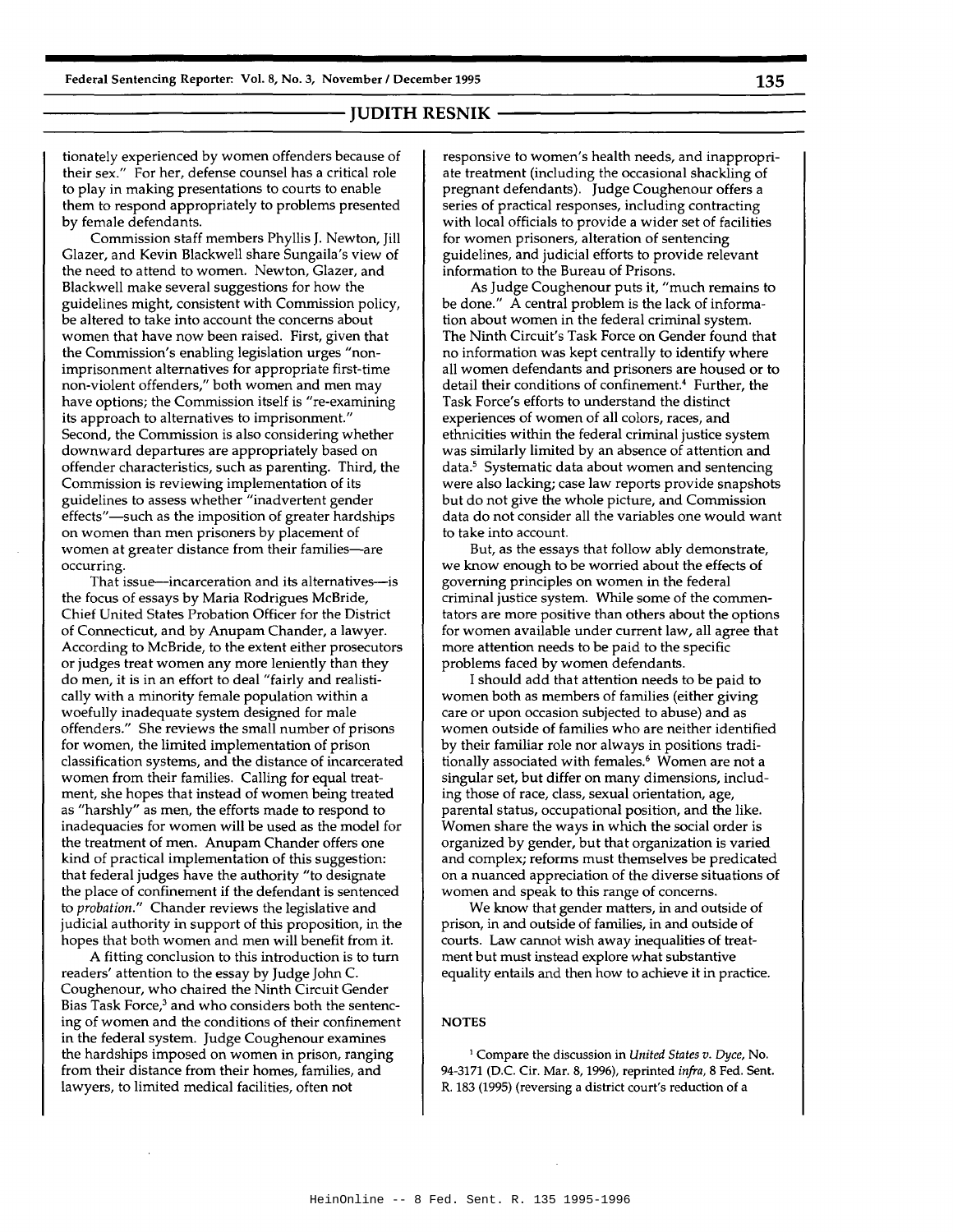tionately experienced by women offenders because of their sex." For her, defense counsel has a critical role to play in making presentations to courts to enable them to respond appropriately to problems presented by female defendants.

Commission staff members Phyllis J. Newton, Jill Glazer, and Kevin Blackwell share Sungaila's view of the need to attend to women. Newton, Glazer, and Blackwell make several suggestions for how the guidelines might, consistent with Commission policy, be altered to take into account the concerns about women that have now been raised. First, given that the Commission's enabling legislation urges "nonimprisonment alternatives for appropriate first-time non-violent offenders," both women and men may have options; the Commission itself is "re-examining its approach to alternatives to imprisonment." Second, the Commission is also considering whether downward departures are appropriately based on offender characteristics, such as parenting. Third, the Commission is reviewing implementation of its guidelines to assess whether "inadvertent gender effects"-such as the imposition of greater hardships on women than men prisoners by placement of women at greater distance from their families-are occurring.

That issue-incarceration and its alternatives-is the focus of essays by Maria Rodrigues McBride, Chief United States Probation Officer for the District of Connecticut, and by Anupam Chander, a lawyer. According to McBride, to the extent either prosecutors or judges treat women any more leniently than they do men, it is in an effort to deal "fairly and realistically with a minority female population within a woefully inadequate system designed for male offenders." She reviews the small number of prisons for women, the limited implementation of prison classification systems, and the distance of incarcerated women from their families. Calling for equal treatment, she hopes that instead of women being treated as "harshly" as men, the efforts made to respond to inadequacies for women will be used as the model for the treatment of men. Anupam Chander offers one kind of practical implementation of this suggestion: that federal judges have the authority "to designate the place of confinement if the defendant is sentenced to *probation."* Chander reviews the legislative and judicial authority in support of this proposition, in the hopes that both women and men will benefit from it.

A fitting conclusion to this introduction is to turn readers' attention to the essay by Judge John C. Coughenour, who chaired the Ninth Circuit Gender Bias Task Force,<sup>3</sup> and who considers both the sentencing of women and the conditions of their confinement in the federal system. Judge Coughenour examines the hardships imposed on women in prison, ranging from their distance from their homes, families, and lawyers, to limited medical facilities, often not

responsive to women's health needs, and inappropriate treatment (including the occasional shackling of pregnant defendants). Judge Coughenour offers a series of practical responses, including contracting with local officials to provide a wider set of facilities for women prisoners, alteration of sentencing guidelines, and judicial efforts to provide relevant information to the Bureau of Prisons.

As Judge Coughenour puts it, "much remains to be done." A central problem is the lack of information about women in the federal criminal system. The Ninth Circuit's Task Force on Gender found that no information was kept centrally to identify where all women defendants and prisoners are housed or to detail their conditions of confinement.4 Further, the Task Force's efforts to understand the distinct experiences of women of all colors, races, and ethnicities within the federal criminal justice system was similarly limited by an absence of attention and data.<sup>5</sup> Systematic data about women and sentencing were also lacking; case law reports provide snapshots but do not give the whole picture, and Commission data do not consider all the variables one would want to take into account.

But, as the essays that follow ably demonstrate, we know enough to be worried about the effects of governing principles on women in the federal criminal justice system. While some of the commentators are more positive than others about the options for women available under current law, all agree that more attention needs to be paid to the specific problems faced by women defendants.

I should add that attention needs to be paid to women both as members of families (either giving care or upon occasion subjected to abuse) and as women outside of families who are neither identified by their familiar role nor always in positions traditionally associated with females.<sup>6</sup> Women are not a singular set, but differ on many dimensions, including those of race, class, sexual orientation, age, parental status, occupational position, and the like. Women share the ways in which the social order is organized by gender, but that organization is varied and complex; reforms must themselves be predicated on a nuanced appreciation of the diverse situations of women and speak to this range of concerns.

We know that gender matters, in and outside of prison, in and outside of families, in and outside of courts. Law cannot wish away inequalities of treatment but must instead explore what substantive equality entails and then how to achieve it in practice.

### **NOTES**

<sup>I</sup> Compare the discussion in *United States v. Dyce,* No. 94-3171 (D.C. Cir. Mar. 8, 1996), reprinted *infra,* 8 Fed. Sent. R. 183 (1995) (reversing a district court's reduction of a